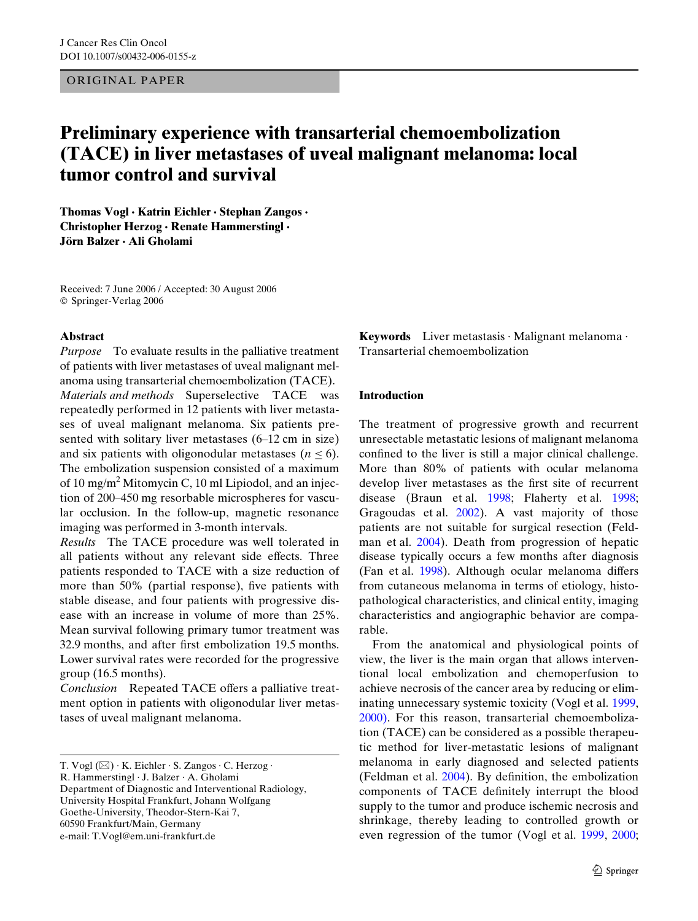ORIGINAL PAPER

# **Preliminary experience with transarterial chemoembolization (TACE) in liver metastases of uveal malignant melanoma: local tumor control and survival**

**Thomas Vogl · Katrin Eichler · Stephan Zangos · Christopher Herzog · Renate Hammerstingl · Jörn Balzer · Ali Gholami** 

Received: 7 June 2006 / Accepted: 30 August 2006 © Springer-Verlag 2006

## **Abstract**

*Purpose* To evaluate results in the palliative treatment of patients with liver metastases of uveal malignant melanoma using transarterial chemoembolization (TACE). *Materials and methods* Superselective TACE was repeatedly performed in 12 patients with liver metastases of uveal malignant melanoma. Six patients presented with solitary liver metastases (6–12 cm in size) and six patients with oligonodular metastases  $(n \leq 6)$ . The embolization suspension consisted of a maximum of 10 mg/m<sup>2</sup> Mitomycin C, 10 ml Lipiodol, and an injection of 200–450 mg resorbable microspheres for vascular occlusion. In the follow-up, magnetic resonance imaging was performed in 3-month intervals.

*Results* The TACE procedure was well tolerated in all patients without any relevant side effects. Three patients responded to TACE with a size reduction of more than 50% (partial response), five patients with stable disease, and four patients with progressive disease with an increase in volume of more than 25%. Mean survival following primary tumor treatment was 32.9 months, and after first embolization 19.5 months. Lower survival rates were recorded for the progressive group (16.5 months).

*Conclusion* Repeated TACE offers a palliative treatment option in patients with oligonodular liver metastases of uveal malignant melanoma.

University Hospital Frankfurt, Johann Wolfgang

Goethe-University, Theodor-Stern-Kai 7,

**Keywords** Liver metastasis · Malignant melanoma · Transarterial chemoembolization

### **Introduction**

The treatment of progressive growth and recurrent unresectable metastatic lesions of malignant melanoma confined to the liver is still a major clinical challenge. More than 80% of patients with ocular melanoma develop liver metastases as the first site of recurrent disease (Braun et al. [1998;](#page-6-0) Flaherty et al. [1998;](#page-7-0) Gragoudas et al. [2002\)](#page-7-1). A vast majority of those patients are not suitable for surgical resection (Feldman et al. [2004](#page-7-2)). Death from progression of hepatic disease typically occurs a few months after diagnosis (Fan et al. [1998\)](#page-7-3). Although ocular melanoma differs from cutaneous melanoma in terms of etiology, histopathological characteristics, and clinical entity, imaging characteristics and angiographic behavior are comparable.

From the anatomical and physiological points of view, the liver is the main organ that allows interventional local embolization and chemoperfusion to achieve necrosis of the cancer area by reducing or eliminating unnecessary systemic toxicity (Vogl et al. [1999,](#page-7-4) [2000\)](#page-7-5). For this reason, transarterial chemoembolization (TACE) can be considered as a possible therapeutic method for liver-metastatic lesions of malignant melanoma in early diagnosed and selected patients (Feldman et al.  $2004$ ). By definition, the embolization components of TACE definitely interrupt the blood supply to the tumor and produce ischemic necrosis and shrinkage, thereby leading to controlled growth or even regression of the tumor (Vogl et al. [1999](#page-7-4), [2000;](#page-7-5)

T. Vogl  $(\boxtimes) \cdot K$ . Eichler  $\cdot S$ . Zangos  $\cdot C$ . Herzog  $\cdot$ 

R. Hammerstingl · J. Balzer · A. Gholami

Department of Diagnostic and Interventional Radiology,

<sup>60590</sup> Frankfurt/Main, Germany e-mail: T.Vogl@em.uni-frankfurt.de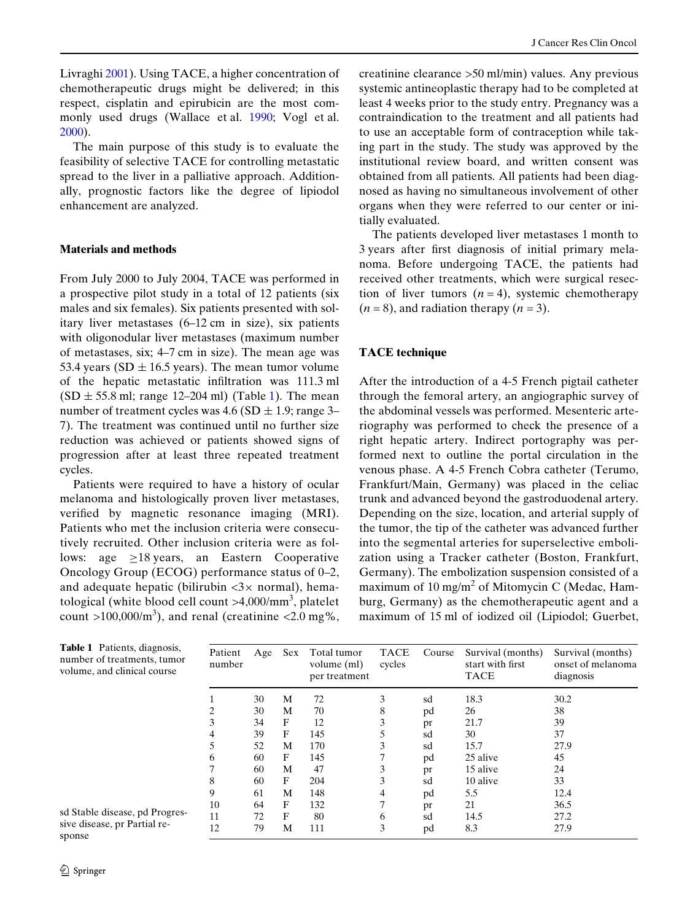Livraghi [2001](#page-7-6)). Using TACE, a higher concentration of chemotherapeutic drugs might be delivered; in this respect, cisplatin and epirubicin are the most commonly used drugs (Wallace et al. [1990](#page-7-7); Vogl et al. [2000](#page-7-5)).

The main purpose of this study is to evaluate the feasibility of selective TACE for controlling metastatic spread to the liver in a palliative approach. Additionally, prognostic factors like the degree of lipiodol enhancement are analyzed.

### **Materials and methods**

From July 2000 to July 2004, TACE was performed in a prospective pilot study in a total of 12 patients (six males and six females). Six patients presented with solitary liver metastases (6–12 cm in size), six patients with oligonodular liver metastases (maximum number of metastases, six; 4–7 cm in size). The mean age was 53.4 years (SD  $\pm$  16.5 years). The mean tumor volume of the hepatic metastatic infiltration was 111.3 ml  $(SD \pm 55.8 \text{ ml}; \text{range } 12{\text -}204 \text{ ml})$  $(SD \pm 55.8 \text{ ml}; \text{range } 12{\text -}204 \text{ ml})$  $(SD \pm 55.8 \text{ ml}; \text{range } 12{\text -}204 \text{ ml})$  (Table 1). The mean number of treatment cycles was  $4.6$  (SD  $\pm$  1.9; range 3– 7). The treatment was continued until no further size reduction was achieved or patients showed signs of progression after at least three repeated treatment cycles.

Patients were required to have a history of ocular melanoma and histologically proven liver metastases, verified by magnetic resonance imaging (MRI). Patients who met the inclusion criteria were consecutively recruited. Other inclusion criteria were as follows: age  $\geq$ 18 years, an Eastern Cooperative Oncology Group (ECOG) performance status of 0–2, and adequate hepatic (bilirubin  $\langle 3 \times$  normal), hematological (white blood cell count >4,000/mm<sup>3</sup>, platelet count >100,000/ $m<sup>3</sup>$ ), and renal (creatinine <2.0 mg%,

creatinine clearance >50 ml/min) values. Any previous systemic antineoplastic therapy had to be completed at least 4 weeks prior to the study entry. Pregnancy was a contraindication to the treatment and all patients had to use an acceptable form of contraception while taking part in the study. The study was approved by the institutional review board, and written consent was obtained from all patients. All patients had been diagnosed as having no simultaneous involvement of other organs when they were referred to our center or initially evaluated.

The patients developed liver metastases 1 month to 3 years after first diagnosis of initial primary melanoma. Before undergoing TACE, the patients had received other treatments, which were surgical resection of liver tumors  $(n = 4)$ , systemic chemotherapy  $(n = 8)$ , and radiation therapy  $(n = 3)$ .

## **TACE technique**

After the introduction of a 4-5 French pigtail catheter through the femoral artery, an angiographic survey of the abdominal vessels was performed. Mesenteric arteriography was performed to check the presence of a right hepatic artery. Indirect portography was performed next to outline the portal circulation in the venous phase. A 4-5 French Cobra catheter (Terumo, Frankfurt/Main, Germany) was placed in the celiac trunk and advanced beyond the gastroduodenal artery. Depending on the size, location, and arterial supply of the tumor, the tip of the catheter was advanced further into the segmental arteries for superselective embolization using a Tracker catheter (Boston, Frankfurt, Germany). The embolization suspension consisted of a maximum of 10 mg/m<sup>2</sup> of Mitomycin C (Medac, Hamburg, Germany) as the chemotherapeutic agent and a maximum of 15 ml of iodized oil (Lipiodol; Guerbet,

<span id="page-1-0"></span>

| <b>Table 1</b> Patients, diagnosis, |
|-------------------------------------|
| number of treatments, tumor         |
| volume, and clinical course         |

sd Stable disease, pd Progressive disease, pr Partial rePatient number Age Sex Total tumor volume (ml) per treatment TACE cycles Course Survival (months) start with first TACE Survival (months) onset of melanoma diagnosis 1 30 M 72 3 sd 18.3 30.2 2 30 M 70 8 pd 26 38 3 34 F 12 3 pr 21.7 39 4 39 F 145 5 sd 30 37 5 52 M 170 3 sd 15.7 27.9 6 60 F 145 7 pd 25 alive 45 7 60 M 47 3 pr 15 alive 24 8 60 F 204 3 sd 10 alive 33 9 61 M 148 4 pd 5.5 12.4 10 64 F 132 7 pr 21 36.5 11 72 F 80 6 sd 14.5 27.2 12 79 M 111 3 pd 8.3 27.9

sponse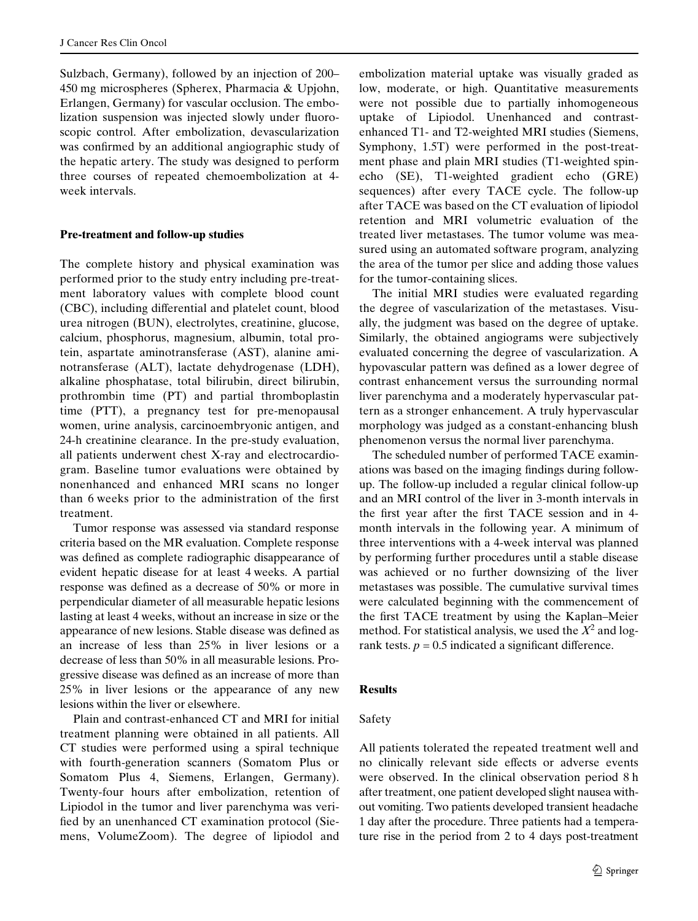Sulzbach, Germany), followed by an injection of 200– 450 mg microspheres (Spherex, Pharmacia & Upjohn, Erlangen, Germany) for vascular occlusion. The embolization suspension was injected slowly under fluoroscopic control. After embolization, devascularization was confirmed by an additional angiographic study of the hepatic artery. The study was designed to perform three courses of repeated chemoembolization at 4 week intervals.

## **Pre-treatment and follow-up studies**

The complete history and physical examination was performed prior to the study entry including pre-treatment laboratory values with complete blood count (CBC), including differential and platelet count, blood urea nitrogen (BUN), electrolytes, creatinine, glucose, calcium, phosphorus, magnesium, albumin, total protein, aspartate aminotransferase (AST), alanine aminotransferase (ALT), lactate dehydrogenase (LDH), alkaline phosphatase, total bilirubin, direct bilirubin, prothrombin time (PT) and partial thromboplastin time (PTT), a pregnancy test for pre-menopausal women, urine analysis, carcinoembryonic antigen, and 24-h creatinine clearance. In the pre-study evaluation, all patients underwent chest X-ray and electrocardiogram. Baseline tumor evaluations were obtained by nonenhanced and enhanced MRI scans no longer than 6 weeks prior to the administration of the first treatment.

Tumor response was assessed via standard response criteria based on the MR evaluation. Complete response was defined as complete radiographic disappearance of evident hepatic disease for at least 4 weeks. A partial response was defined as a decrease of 50% or more in perpendicular diameter of all measurable hepatic lesions lasting at least 4 weeks, without an increase in size or the appearance of new lesions. Stable disease was defined as an increase of less than 25% in liver lesions or a decrease of less than 50% in all measurable lesions. Progressive disease was defined as an increase of more than 25% in liver lesions or the appearance of any new lesions within the liver or elsewhere.

Plain and contrast-enhanced CT and MRI for initial treatment planning were obtained in all patients. All CT studies were performed using a spiral technique with fourth-generation scanners (Somatom Plus or Somatom Plus 4, Siemens, Erlangen, Germany). Twenty-four hours after embolization, retention of Lipiodol in the tumor and liver parenchyma was verified by an unenhanced CT examination protocol (Siemens, VolumeZoom). The degree of lipiodol and embolization material uptake was visually graded as low, moderate, or high. Quantitative measurements were not possible due to partially inhomogeneous uptake of Lipiodol. Unenhanced and contrastenhanced T1- and T2-weighted MRI studies (Siemens, Symphony, 1.5T) were performed in the post-treatment phase and plain MRI studies (T1-weighted spinecho (SE), T1-weighted gradient echo (GRE) sequences) after every TACE cycle. The follow-up after TACE was based on the CT evaluation of lipiodol retention and MRI volumetric evaluation of the treated liver metastases. The tumor volume was measured using an automated software program, analyzing the area of the tumor per slice and adding those values for the tumor-containing slices.

The initial MRI studies were evaluated regarding the degree of vascularization of the metastases. Visually, the judgment was based on the degree of uptake. Similarly, the obtained angiograms were subjectively evaluated concerning the degree of vascularization. A hypovascular pattern was defined as a lower degree of contrast enhancement versus the surrounding normal liver parenchyma and a moderately hypervascular pattern as a stronger enhancement. A truly hypervascular morphology was judged as a constant-enhancing blush phenomenon versus the normal liver parenchyma.

The scheduled number of performed TACE examinations was based on the imaging findings during followup. The follow-up included a regular clinical follow-up and an MRI control of the liver in 3-month intervals in the first year after the first TACE session and in 4month intervals in the following year. A minimum of three interventions with a 4-week interval was planned by performing further procedures until a stable disease was achieved or no further downsizing of the liver metastases was possible. The cumulative survival times were calculated beginning with the commencement of the first TACE treatment by using the Kaplan–Meier method. For statistical analysis, we used the  $X^2$  and logrank tests.  $p = 0.5$  indicated a significant difference.

## **Results**

## Safety

All patients tolerated the repeated treatment well and no clinically relevant side effects or adverse events were observed. In the clinical observation period 8 h after treatment, one patient developed slight nausea without vomiting. Two patients developed transient headache 1 day after the procedure. Three patients had a temperature rise in the period from 2 to 4 days post-treatment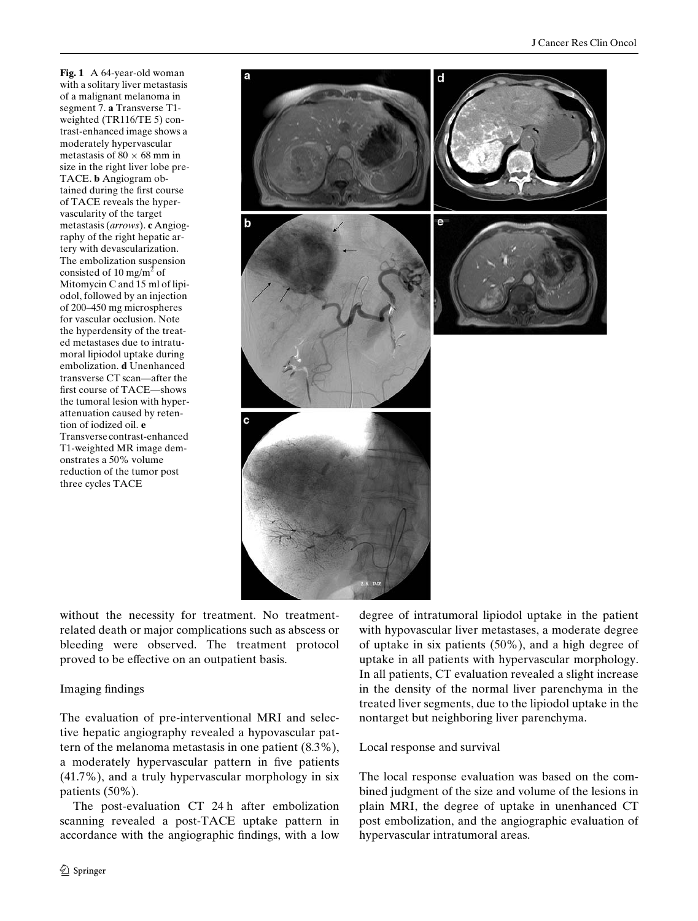<span id="page-3-0"></span>**Fig. 1** A 64-year-old woman with a solitary liver metastasis of a malignant melanoma in segment 7. **a** Transverse T1 weighted (TR116/TE 5) contrast-enhanced image shows a moderately hypervascular metastasis of 80  $\times$  68 mm in size in the right liver lobe pre-TACE. **b** Angiogram obtained during the first course of TACE reveals the hypervascularity of the target metastasis (*arrows*). **c** Angiography of the right hepatic artery with devascularization. The embolization suspension consisted of 10 mg/m<sup>2</sup> of Mitomycin C and 15 ml of lipiodol, followed by an injection of 200–450 mg microspheres for vascular occlusion. Note the hyperdensity of the treated metastases due to intratumoral lipiodol uptake during embolization. **d** Unenhanced transverse CT scan—after the first course of TACE—shows the tumoral lesion with hyperattenuation caused by retention of iodized oil. **e** Transverse contrast-enhanced T1-weighted MR image demonstrates a 50% volume reduction of the tumor post three cycles TACE



without the necessity for treatment. No treatmentrelated death or major complications such as abscess or bleeding were observed. The treatment protocol proved to be effective on an outpatient basis.

# Imaging findings

The evaluation of pre-interventional MRI and selective hepatic angiography revealed a hypovascular pattern of the melanoma metastasis in one patient (8.3%), a moderately hypervascular pattern in five patients (41.7%), and a truly hypervascular morphology in six patients (50%).

The post-evaluation CT 24 h after embolization scanning revealed a post-TACE uptake pattern in accordance with the angiographic findings, with a low

 $\mathcal{D}$  Springer

degree of intratumoral lipiodol uptake in the patient with hypovascular liver metastases, a moderate degree of uptake in six patients (50%), and a high degree of uptake in all patients with hypervascular morphology. In all patients, CT evaluation revealed a slight increase in the density of the normal liver parenchyma in the treated liver segments, due to the lipiodol uptake in the nontarget but neighboring liver parenchyma.

## Local response and survival

The local response evaluation was based on the combined judgment of the size and volume of the lesions in plain MRI, the degree of uptake in unenhanced CT post embolization, and the angiographic evaluation of hypervascular intratumoral areas.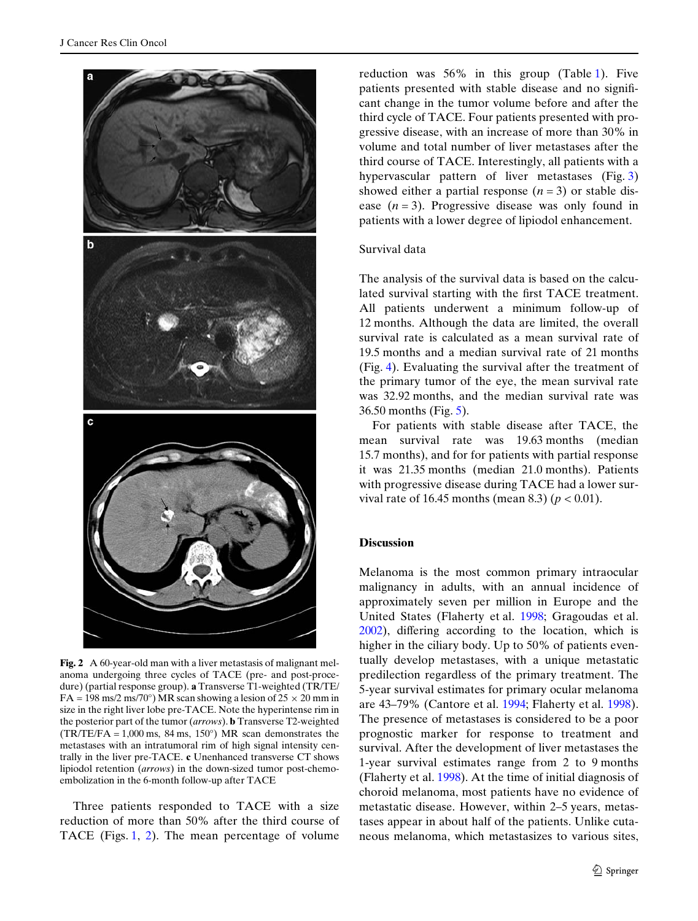

<span id="page-4-0"></span>**Fig. 2** A 60-year-old man with a liver metastasis of malignant melanoma undergoing three cycles of TACE (pre- and post-procedure) (partial response group). **a** Transverse T1-weighted (TR/TE/  $FA = 198 \text{ ms}/2 \text{ ms}/70^{\circ}) MR$  scan showing a lesion of  $25 \times 20 \text{ mm in}$ size in the right liver lobe pre-TACE. Note the hyperintense rim in the posterior part of the tumor (*arrows*). **b** Transverse T2-weighted  $(TR/TE/FA = 1,000 \text{ ms}, 84 \text{ ms}, 150^{\circ}) \text{ MR scan demonstrates the}$ metastases with an intratumoral rim of high signal intensity centrally in the liver pre-TACE. **c** Unenhanced transverse CT shows lipiodol retention (*arrows*) in the down-sized tumor post-chemoembolization in the 6-month follow-up after TACE

Three patients responded to TACE with a size reduction of more than 50% after the third course of TACE (Figs. [1,](#page-3-0) [2](#page-4-0)). The mean percentage of volume reduction was 56% in this group (Table [1](#page-1-0)). Five patients presented with stable disease and no significant change in the tumor volume before and after the third cycle of TACE. Four patients presented with progressive disease, with an increase of more than 30% in volume and total number of liver metastases after the third course of TACE. Interestingly, all patients with a hypervascular pattern of liver metastases (Fig. [3](#page-5-0)) showed either a partial response  $(n=3)$  or stable disease  $(n=3)$ . Progressive disease was only found in patients with a lower degree of lipiodol enhancement.

## Survival data

The analysis of the survival data is based on the calculated survival starting with the first TACE treatment. All patients underwent a minimum follow-up of 12 months. Although the data are limited, the overall survival rate is calculated as a mean survival rate of 19.5 months and a median survival rate of 21 months (Fig. [4\)](#page-6-1). Evaluating the survival after the treatment of the primary tumor of the eye, the mean survival rate was 32.92 months, and the median survival rate was 36.50 months (Fig. [5\)](#page-6-2).

For patients with stable disease after TACE, the mean survival rate was 19.63 months (median 15.7 months), and for for patients with partial response it was 21.35 months (median 21.0 months). Patients with progressive disease during TACE had a lower survival rate of 16.45 months (mean 8.3) ( $p < 0.01$ ).

#### **Discussion**

Melanoma is the most common primary intraocular malignancy in adults, with an annual incidence of approximately seven per million in Europe and the United States (Flaherty et al. [1998](#page-7-0); Gragoudas et al.  $2002$ ), differing according to the location, which is higher in the ciliary body. Up to 50% of patients eventually develop metastases, with a unique metastatic predilection regardless of the primary treatment. The 5-year survival estimates for primary ocular melanoma are 43–79% (Cantore et al. [1994](#page-6-3); Flaherty et al. [1998\)](#page-7-0). The presence of metastases is considered to be a poor prognostic marker for response to treatment and survival. After the development of liver metastases the 1-year survival estimates range from 2 to 9 months (Flaherty et al. [1998\)](#page-7-0). At the time of initial diagnosis of choroid melanoma, most patients have no evidence of metastatic disease. However, within 2–5 years, metastases appear in about half of the patients. Unlike cutaneous melanoma, which metastasizes to various sites,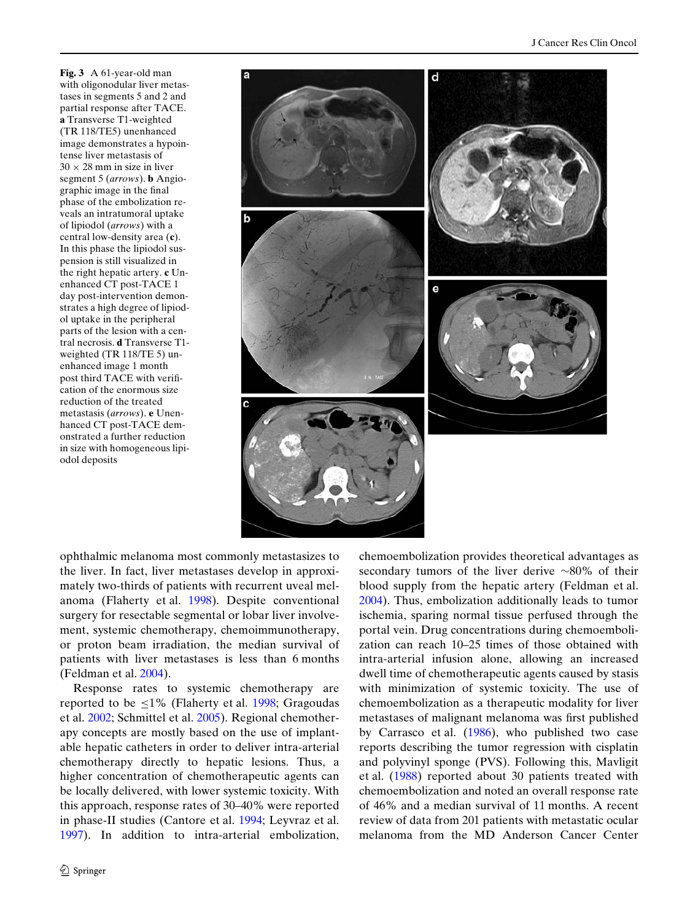<span id="page-5-0"></span>**Fig. 3** A 61-year-old man with oligonodular liver metastases in segments 5 and 2 and partial response after TACE. **a** Transverse T1-weighted (TR 118/TE5) unenhanced image demonstrates a hypointense liver metastasis of  $30 \times 28$  mm in size in liver segment 5 (*arrows*). **b** Angiographic image in the final phase of the embolization reveals an intratumoral uptake of lipiodol (*arrows*) with a central low-density area (**c**). In this phase the lipiodol suspension is still visualized in the right hepatic artery. **c** Unenhanced CT post-TACE 1 day post-intervention demonstrates a high degree of lipiodol uptake in the peripheral parts of the lesion with a central necrosis. **d** Transverse T1 weighted (TR 118/TE 5) unenhanced image 1 month post third TACE with verification of the enormous size reduction of the treated metastasis (*arrows*). **e** Unenhanced CT post-TACE demonstrated a further reduction in size with homogeneous lipiodol deposits



ophthalmic melanoma most commonly metastasizes to the liver. In fact, liver metastases develop in approximately two-thirds of patients with recurrent uveal melanoma (Flaherty et al. [1998\)](#page-7-0). Despite conventional surgery for resectable segmental or lobar liver involvement, systemic chemotherapy, chemoimmunotherapy, or proton beam irradiation, the median survival of patients with liver metastases is less than 6 months (Feldman et al. [2004](#page-7-2)).

Response rates to systemic chemotherapy are reported to be  $\leq$ 1% (Flaherty et al. [1998](#page-7-0); Gragoudas et al. [2002;](#page-7-1) Schmittel et al. [2005\)](#page-7-8). Regional chemotherapy concepts are mostly based on the use of implantable hepatic catheters in order to deliver intra-arterial chemotherapy directly to hepatic lesions. Thus, a higher concentration of chemotherapeutic agents can be locally delivered, with lower systemic toxicity. With this approach, response rates of 30–40% were reported in phase-II studies (Cantore et al. [1994;](#page-6-3) Leyvraz et al. [1997](#page-7-9)). In addition to intra-arterial embolization, chemoembolization provides theoretical advantages as secondary tumors of the liver derive  $\sim80\%$  of their blood supply from the hepatic artery (Feldman et al. [2004](#page-7-2)). Thus, embolization additionally leads to tumor ischemia, sparing normal tissue perfused through the portal vein. Drug concentrations during chemoembolization can reach 10–25 times of those obtained with intra-arterial infusion alone, allowing an increased dwell time of chemotherapeutic agents caused by stasis with minimization of systemic toxicity. The use of chemoembolization as a therapeutic modality for liver metastases of malignant melanoma was first published by Carrasco et al. ([1986\)](#page-6-4), who published two case reports describing the tumor regression with cisplatin and polyvinyl sponge (PVS). Following this, Mavligit et al. ([1988\)](#page-7-10) reported about 30 patients treated with chemoembolization and noted an overall response rate of 46% and a median survival of 11 months. A recent review of data from 201 patients with metastatic ocular melanoma from the MD Anderson Cancer Center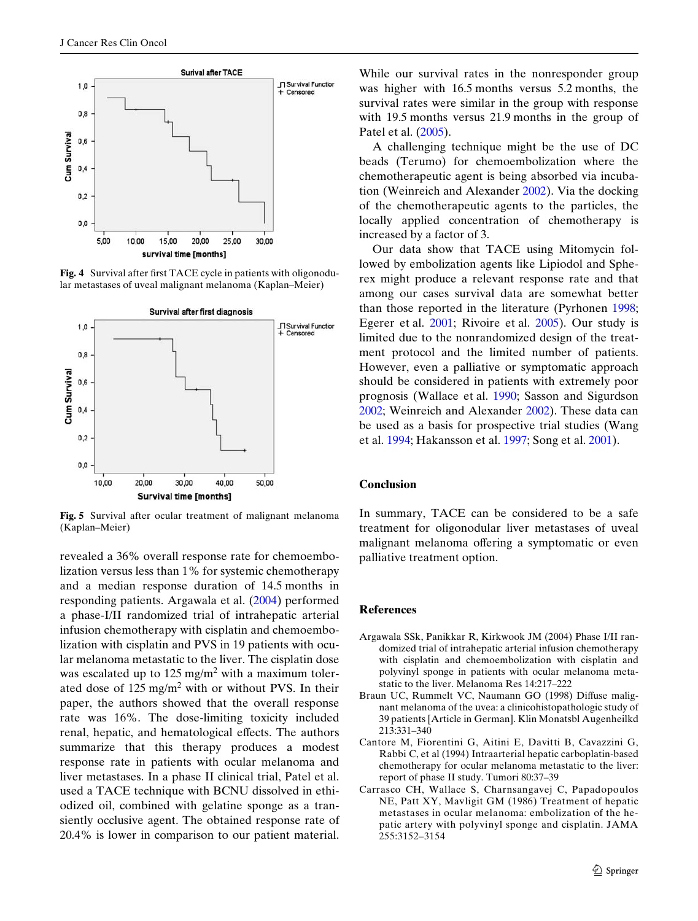

<span id="page-6-1"></span>**Fig. 4** Survival after first TACE cycle in patients with oligonodular metastases of uveal malignant melanoma (Kaplan–Meier)



<span id="page-6-2"></span>**Fig. 5** Survival after ocular treatment of malignant melanoma (Kaplan–Meier)

revealed a 36% overall response rate for chemoembolization versus less than 1% for systemic chemotherapy and a median response duration of 14.5 months in responding patients. Argawala et al. [\(2004](#page-6-5)) performed a phase-I/II randomized trial of intrahepatic arterial infusion chemotherapy with cisplatin and chemoembolization with cisplatin and PVS in 19 patients with ocular melanoma metastatic to the liver. The cisplatin dose was escalated up to  $125 \text{ mg/m}^2$  with a maximum tolerated dose of  $125 \text{ mg/m}^2$  with or without PVS. In their paper, the authors showed that the overall response rate was 16%. The dose-limiting toxicity included renal, hepatic, and hematological effects. The authors summarize that this therapy produces a modest response rate in patients with ocular melanoma and liver metastases. In a phase II clinical trial, Patel et al. used a TACE technique with BCNU dissolved in ethiodized oil, combined with gelatine sponge as a transiently occlusive agent. The obtained response rate of 20.4% is lower in comparison to our patient material.

While our survival rates in the nonresponder group was higher with 16.5 months versus 5.2 months, the survival rates were similar in the group with response with 19.5 months versus 21.9 months in the group of Patel et al. [\(2005](#page-7-11)).

A challenging technique might be the use of DC beads (Terumo) for chemoembolization where the chemotherapeutic agent is being absorbed via incubation (Weinreich and Alexander [2002\)](#page-7-12). Via the docking of the chemotherapeutic agents to the particles, the locally applied concentration of chemotherapy is increased by a factor of 3.

Our data show that TACE using Mitomycin followed by embolization agents like Lipiodol and Spherex might produce a relevant response rate and that among our cases survival data are somewhat better than those reported in the literature (Pyrhonen [1998;](#page-7-13) Egerer et al. [2001](#page-7-14); Rivoire et al. [2005\)](#page-7-15). Our study is limited due to the nonrandomized design of the treatment protocol and the limited number of patients. However, even a palliative or symptomatic approach should be considered in patients with extremely poor prognosis (Wallace et al. [1990](#page-7-7); Sasson and Sigurdson [2002](#page-7-16); Weinreich and Alexander [2002](#page-7-12)). These data can be used as a basis for prospective trial studies (Wang et al. [1994;](#page-7-17) Hakansson et al. [1997](#page-7-18); Song et al. [2001\)](#page-7-19).

### **Conclusion**

In summary, TACE can be considered to be a safe treatment for oligonodular liver metastases of uveal malignant melanoma offering a symptomatic or even palliative treatment option.

#### **References**

- <span id="page-6-5"></span>Argawala SSk, Panikkar R, Kirkwook JM (2004) Phase I/II randomized trial of intrahepatic arterial infusion chemotherapy with cisplatin and chemoembolization with cisplatin and polyvinyl sponge in patients with ocular melanoma metastatic to the liver. Melanoma Res 14:217–222
- <span id="page-6-0"></span>Braun UC, Rummelt VC, Naumann GO (1998) Diffuse malignant melanoma of the uvea: a clinicohistopathologic study of 39 patients [Article in German]. Klin Monatsbl Augenheilkd 213:331–340
- <span id="page-6-3"></span>Cantore M, Fiorentini G, Aitini E, Davitti B, Cavazzini G, Rabbi C, et al (1994) Intraarterial hepatic carboplatin-based chemotherapy for ocular melanoma metastatic to the liver: report of phase II study. Tumori 80:37–39
- <span id="page-6-4"></span>Carrasco CH, Wallace S, Charnsangavej C, Papadopoulos NE, Patt XY, Mavligit GM (1986) Treatment of hepatic metastases in ocular melanoma: embolization of the hepatic artery with polyvinyl sponge and cisplatin. JAMA 255:3152–3154